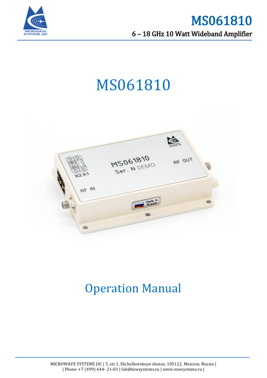

# MS061810



# Operation Manual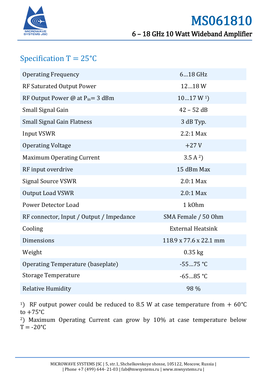

# Specification  $T = 25^{\circ}C$

| <b>Operating Frequency</b>               | 618 GHz                  |
|------------------------------------------|--------------------------|
| <b>RF Saturated Output Power</b>         | 1218W                    |
| RF Output Power @ at $P_{in} = 3$ dBm    | 1017 W <sup>1</sup>      |
| Small Signal Gain                        | $42 - 52$ dB             |
| <b>Small Signal Gain Flatness</b>        | 3 dB Typ.                |
| <b>Input VSWR</b>                        | $2.2:1$ Max              |
| <b>Operating Voltage</b>                 | $+27V$                   |
| <b>Maximum Operating Current</b>         | 3.5 A <sup>2</sup>       |
| RF input overdrive                       | 15 dBm Max               |
| <b>Signal Source VSWR</b>                | $2.0:1$ Max              |
| <b>Output Load VSWR</b>                  | $2.0:1$ Max              |
| Power Detector Load                      | 1 k0hm                   |
| RF connector, Input / Output / Impedance | SMA Female / 50 Ohm      |
| Cooling                                  | <b>External Heatsink</b> |
| <b>Dimensions</b>                        | 118.9 x 77.6 x 22.1 mm   |
| Weight                                   | $0.35$ kg                |
| Operating Temperature (baseplate)        | $-5575 °C$               |
| <b>Storage Temperature</b>               | $-6585 °C$               |
| <b>Relative Humidity</b>                 | 98 %                     |

<sup>1</sup>) RF output power could be reduced to 8.5 W at case temperature from  $+ 60^{\circ}$ C to  $+75^{\circ}$ C

<sup>2</sup>) Maximum Operating Current can grow by 10% at case temperature below  $T = -20$ °C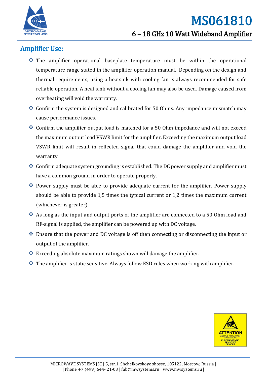

# Amplifier Use:

- The amplifier operational baseplate temperature must be within the operational temperature range stated in the amplifier operation manual. Depending on the design and thermal requirements, using a heatsink with cooling fan is always recommended for safe reliable operation. A heat sink without a cooling fan may also be used. Damage caused from overheating will void the warranty.
- Confirm the system is designed and calibrated for 50 Ohms. Any impedance mismatch may cause performance issues.
- Confirm the amplifier output load is matched for a 50 Ohm impedance and will not exceed the maximum output load VSWR limit for the amplifier. Exceeding the maximum output load VSWR limit will result in reflected signal that could damage the amplifier and void the warranty.
- Confirm adequate system grounding is established. The DC power supply and amplifier must have a common ground in order to operate properly.
- Power supply must be able to provide adequate current for the amplifier. Power supply should be able to provide 1,5 times the typical current or 1,2 times the maximum current (whichever is greater).
- As long as the input and output ports of the amplifier are connected to a 50 Ohm load and RF-signal is applied, the amplifier can be powered up with DC voltage.
- Ensure that the power and DC voltage is off then connecting or disconnecting the input or output of the amplifier.
- $\triangleq$  Exceeding absolute maximum ratings shown will damage the amplifier.
- $\bullet\bullet$  The amplifier is static sensitive. Always follow ESD rules when working with amplifier.

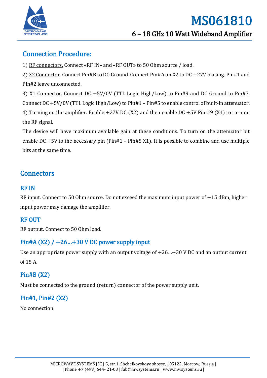

# Connection Procedure:

1) RF connectors. Connect «RF IN» and «RF OUT» to 50 Ohm source / load.

2) X2 Connector. Connect Pin#B to DC Ground. Connect Pin#A on X2 to DC +27V biasing. Pin#1 and Pin#2 leave unconnected.

3) X1 Connector. Connect DC +5V/0V (TTL Logic High/Low) to Pin#9 and DC Ground to Pin#7. Connect DC +5V/0V (TTL Logic High/Low) to Pin#1 – Pin#5 to enable control of built-in attenuator. 4) Turning on the amplifier. Enable +27V DC (X2) and then enable DC +5V Pin #9 (X1) to turn on the RF signal.

The device will have maximum available gain at these conditions. To turn on the attenuator bit enable DC  $+5V$  to the necessary pin (Pin#1 – Pin#5 X1). It is possible to combine and use multiple bits at the same time.

# **Connectors**

#### RF IN

RF input. Connect to 50 Ohm source. Do not exceed the maximum input power of +15 dBm, higher input power may damage the amplifier.

#### RF OUT

RF output. Connect to 50 Ohm load.

#### Pin#A (X2) / +26…+30 V DC power supply input

Use an appropriate power supply with an output voltage of +26…+30 V DC and an output current of 15 A.

#### Pin#B (X2)

Must be connected to the ground (return) connector of the power supply unit.

## Pin#1, Pin#2 (X2)

No connection.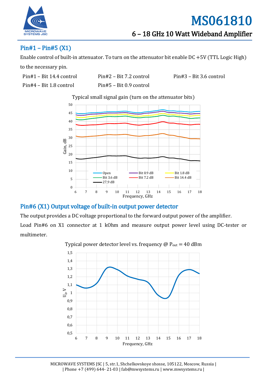

### Pin#1 – Pin#5 (X1)

Enable control of built-in attenuator. To turn on the attenuator bit enable DC +5V (TTL Logic High)

to the necessary pin.

| Pin#1 - Bit 14.4 control |  |
|--------------------------|--|
|--------------------------|--|

Pin#4 – Bit 1.8 control Pin#5 – Bit 0.9 control

Pin#1 – Bit 14.4 control Pin#2 – Bit 7.2 control Pin#3 – Bit 3.6 control

Typical small signal gain (turn on the attenuator bits)



#### Pin#6 (X1) Output voltage of built-in output power detector

The output provides a DC voltage proportional to the forward output power of the amplifier. Load Pin#6 on X1 connector at 1 kOhm and measure output power level using DC-tester or

multimeter.



Typical power detector level vs. frequency  $\omega$  P<sub>out</sub> = 40 dBm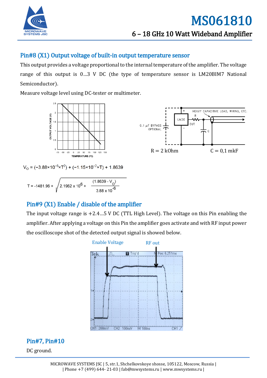

#### Pin#8 (X1) Output voltage of built-in output temperature sensor

This output provides a voltage proportional to the internal temperature of the amplifier. The voltage range of this output is 0…3 V DC (the type of temperature sensor is LM20BIM7 National Semiconductor).

Measure voltage level using DC-tester or multimeter.





 $V_0 = (-3.88 \times 10^{-6} \times T^2) + (-1.15 \times 10^{-2} \times T) + 1.8639$ 

$$
T = -1481.96 + \sqrt{2.1962 \times 10^6 + \frac{(1.8639 - V_0)}{3.88 \times 10^{-6}}}
$$

#### Pin#9 (X1) Enable / disable of the amplifier

The input voltage range is  $+2.4...5$  V DC (TTL High Level). The voltage on this Pin enabling the amplifier. After applying a voltage on this Pin the amplifier goes activate and with RF input power the oscilloscope shot of the detected output signal is showed below.



## Pin#7, Pin#10

DC ground.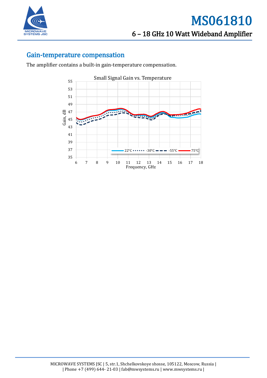

#### Gain-temperature compensation

The amplifier contains a built-in gain-temperature compensation.